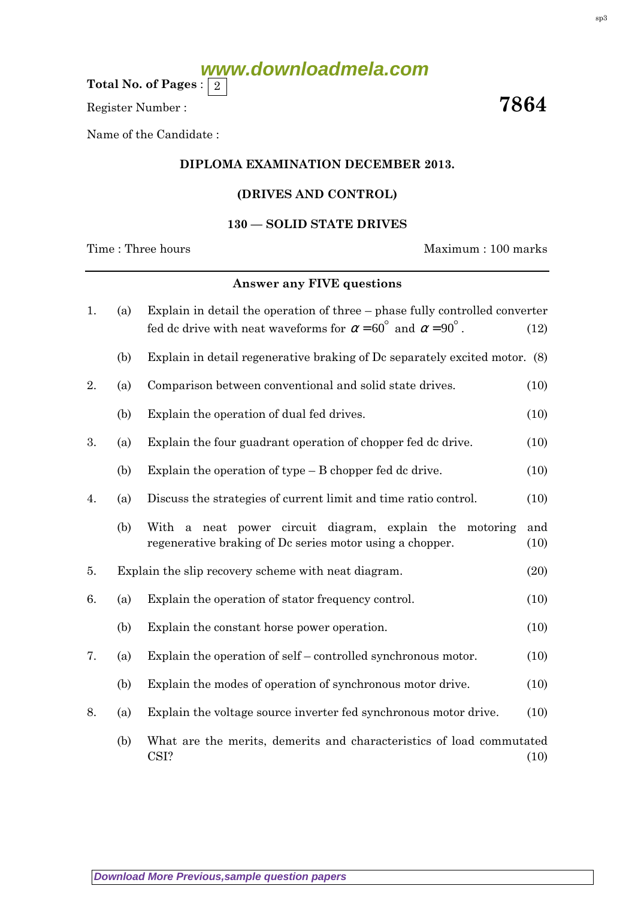**www.downloadmela.com**

Total No. of Pages :  $\mid 2 \rangle$ 

Register Number :  $\overline{\hspace{1.6cm}7864}$ 

Name of the Candidate :

## DIPLOMA EXAMINATION DECEMBER 2013.

# (DRIVES AND CONTROL)

#### 130 — SOLID STATE DRIVES

Time : Three hours Maximum : 100 marks

## Answer any FIVE questions

| 1. | (a) | Explain in detail the operation of three – phase fully controlled converter                                               |             |  |
|----|-----|---------------------------------------------------------------------------------------------------------------------------|-------------|--|
|    |     | fed dc drive with neat waveforms for $\alpha = 60^{\circ}$ and $\alpha = 90^{\circ}$ .                                    | (12)        |  |
|    | (b) | Explain in detail regenerative braking of Dc separately excited motor. (8)                                                |             |  |
| 2. | (a) | Comparison between conventional and solid state drives.                                                                   | (10)        |  |
|    | (b) | Explain the operation of dual fed drives.                                                                                 | (10)        |  |
| 3. | (a) | Explain the four guadrant operation of chopper fed dc drive.                                                              | (10)        |  |
|    | (b) | Explain the operation of type $-$ B chopper fed dc drive.                                                                 | (10)        |  |
| 4. | (a) | Discuss the strategies of current limit and time ratio control.                                                           | (10)        |  |
|    | (b) | a neat power circuit diagram, explain the<br>With<br>motoring<br>regenerative braking of Dc series motor using a chopper. | and<br>(10) |  |
| 5. |     | Explain the slip recovery scheme with neat diagram.                                                                       | (20)        |  |
| 6. | (a) | Explain the operation of stator frequency control.                                                                        | (10)        |  |
|    | (b) | Explain the constant horse power operation.                                                                               | (10)        |  |
| 7. | (a) | Explain the operation of self – controlled synchronous motor.                                                             | (10)        |  |
|    | (b) | Explain the modes of operation of synchronous motor drive.                                                                | (10)        |  |
| 8. | (a) | Explain the voltage source inverter fed synchronous motor drive.                                                          | (10)        |  |
|    | (b) | What are the merits, demerits and characteristics of load commutated<br>CSI?                                              | (10)        |  |